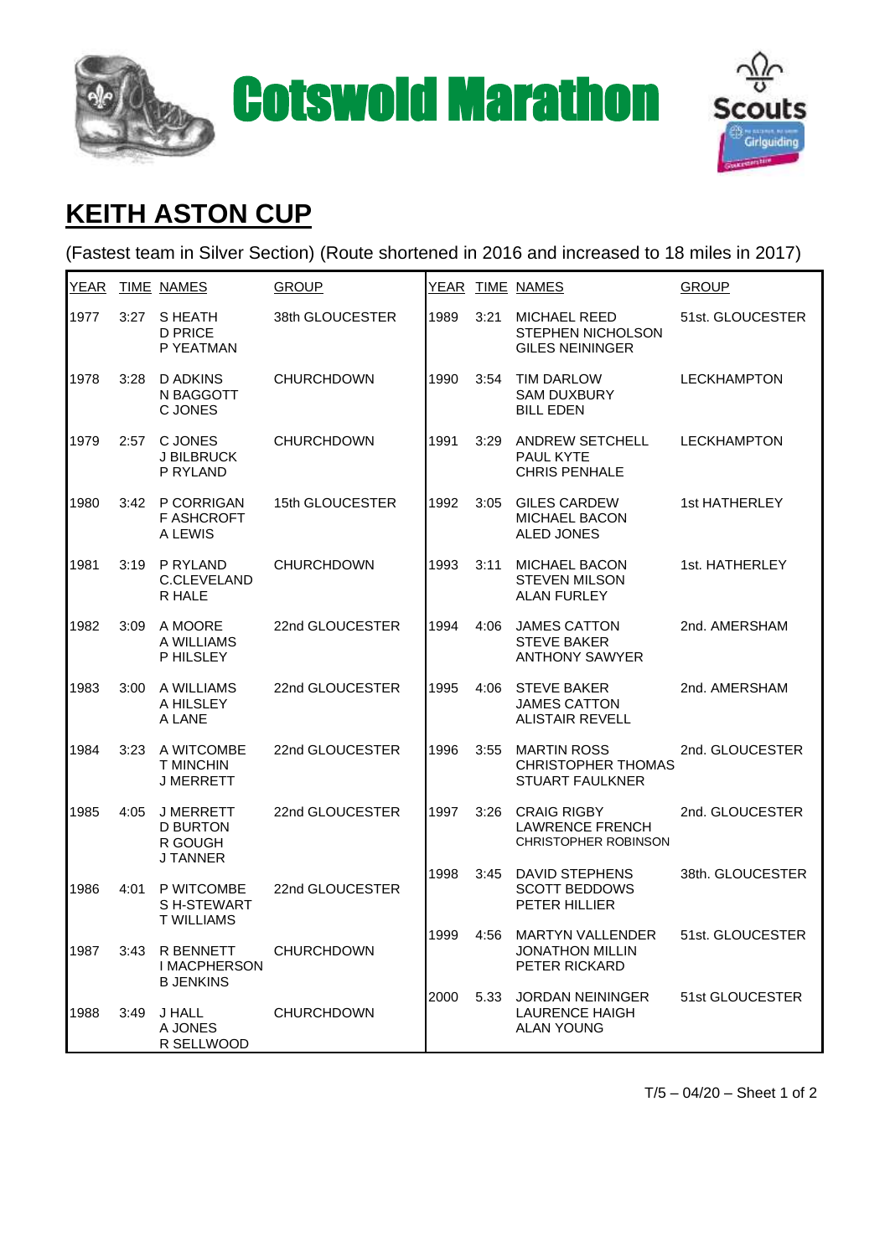



## **KEITH ASTON CUP**

(Fastest team in Silver Section) (Route shortened in 2016 and increased to 18 miles in 2017)

| <u>YEAR</u> |      | <b>TIME NAMES</b>                                                 | <b>GROUP</b>      |      |      | YEAR TIME NAMES                                                             | <b>GROUP</b>       |
|-------------|------|-------------------------------------------------------------------|-------------------|------|------|-----------------------------------------------------------------------------|--------------------|
| 1977        | 3:27 | S HEATH<br><b>D PRICE</b><br>P YEATMAN                            | 38th GLOUCESTER   | 1989 | 3:21 | <b>MICHAEL REED</b><br>STEPHEN NICHOLSON<br><b>GILES NEININGER</b>          | 51st. GLOUCESTER   |
| 1978        | 3:28 | <b>D ADKINS</b><br>N BAGGOTT<br>C JONES                           | <b>CHURCHDOWN</b> | 1990 | 3:54 | <b>TIM DARLOW</b><br><b>SAM DUXBURY</b><br><b>BILL EDEN</b>                 | <b>LECKHAMPTON</b> |
| 1979        | 2:57 | <b>C JONES</b><br>J BILBRUCK<br>P RYLAND                          | <b>CHURCHDOWN</b> | 1991 | 3:29 | <b>ANDREW SETCHELL</b><br>PAUL KYTE<br><b>CHRIS PENHALE</b>                 | <b>LECKHAMPTON</b> |
| 1980        | 3:42 | P CORRIGAN<br><b>F ASHCROFT</b><br>A LEWIS                        | 15th GLOUCESTER   | 1992 | 3:05 | <b>GILES CARDEW</b><br>MICHAEL BACON<br><b>ALED JONES</b>                   | 1st HATHERLEY      |
| 1981        | 3:19 | P RYLAND<br>C.CLEVELAND<br>R HALE                                 | <b>CHURCHDOWN</b> | 1993 | 3:11 | <b>MICHAEL BACON</b><br><b>STEVEN MILSON</b><br><b>ALAN FURLEY</b>          | 1st. HATHERLEY     |
| 1982        | 3:09 | A MOORE<br>A WILLIAMS<br>P HILSLEY                                | 22nd GLOUCESTER   | 1994 | 4:06 | <b>JAMES CATTON</b><br><b>STEVE BAKER</b><br><b>ANTHONY SAWYER</b>          | 2nd. AMERSHAM      |
| 1983        | 3:00 | A WILLIAMS<br>A HILSLEY<br>A LANE                                 | 22nd GLOUCESTER   | 1995 | 4:06 | <b>STEVE BAKER</b><br><b>JAMES CATTON</b><br><b>ALISTAIR REVELL</b>         | 2nd. AMERSHAM      |
| 1984        | 3:23 | A WITCOMBE<br><b>T MINCHIN</b><br><b>J MERRETT</b>                | 22nd GLOUCESTER   | 1996 | 3:55 | <b>MARTIN ROSS</b><br><b>CHRISTOPHER THOMAS</b><br><b>STUART FAULKNER</b>   | 2nd. GLOUCESTER    |
| 1985        | 4:05 | <b>J MERRETT</b><br><b>D BURTON</b><br>R GOUGH<br><b>J TANNER</b> | 22nd GLOUCESTER   | 1997 | 3:26 | <b>CRAIG RIGBY</b><br><b>LAWRENCE FRENCH</b><br><b>CHRISTOPHER ROBINSON</b> | 2nd. GLOUCESTER    |
| 1986        | 4:01 | P WITCOMBE<br>SH-STEWART<br><b>T WILLIAMS</b>                     | 22nd GLOUCESTER   | 1998 | 3:45 | <b>DAVID STEPHENS</b><br><b>SCOTT BEDDOWS</b><br>PETER HILLIER              | 38th. GLOUCESTER   |
| 1987        |      | 3:43 R BENNETT<br><b>I MACPHERSON</b><br><b>B JENKINS</b>         | CHURCHDOWN        | 1999 | 4:56 | <b>MARTYN VALLENDER</b><br><b>JONATHON MILLIN</b><br>PETER RICKARD          | 51st. GLOUCESTER   |
| 1988        | 3:49 | J HALL<br>A JONES<br>R SELLWOOD                                   | <b>CHURCHDOWN</b> | 2000 | 5.33 | <b>JORDAN NEININGER</b><br><b>LAURENCE HAIGH</b><br><b>ALAN YOUNG</b>       | 51st GLOUCESTER    |

 $T/5 - 04/20 -$  Sheet 1 of 2